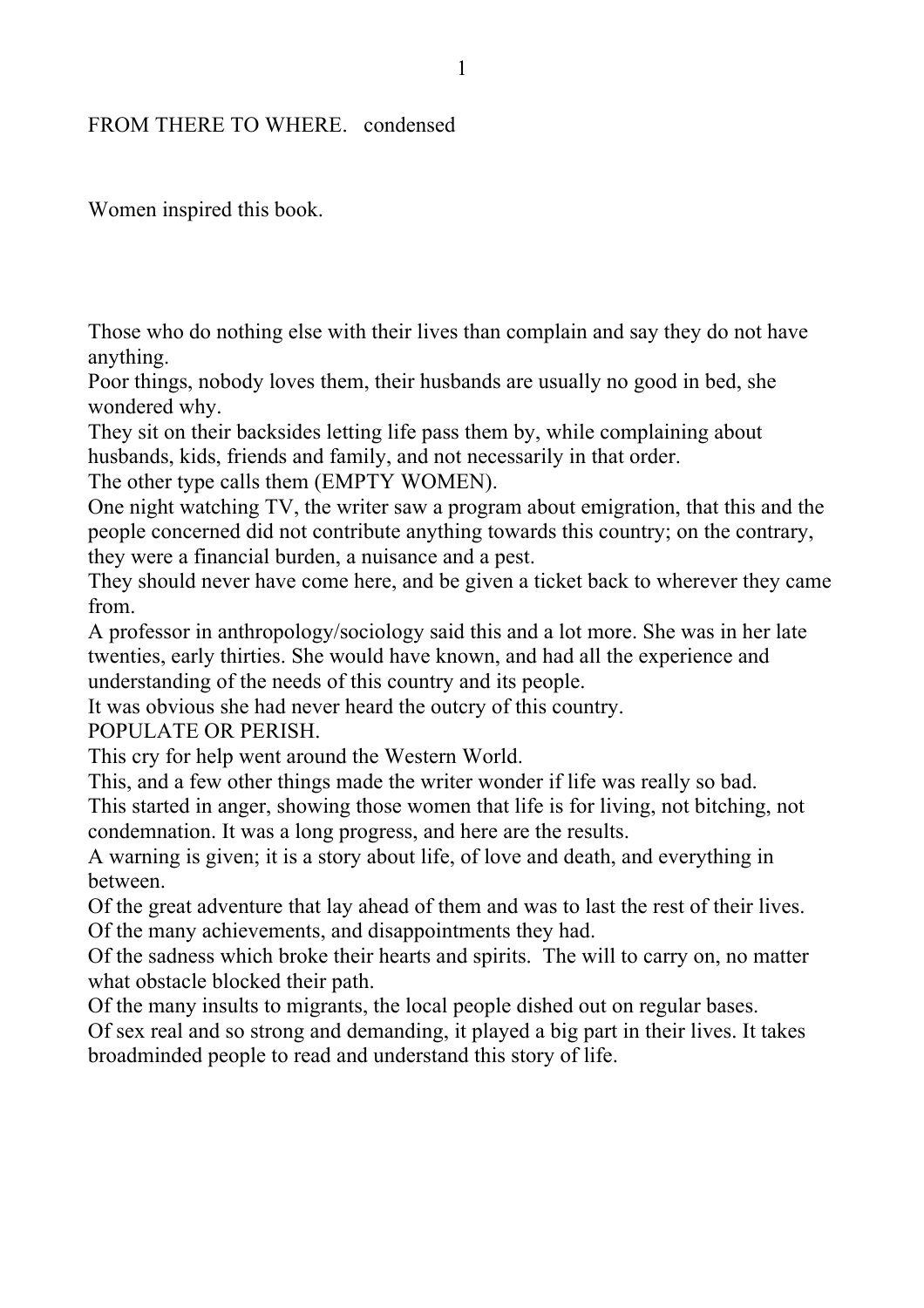## FROM THERE TO WHERE. condensed

Women inspired this book.

Those who do nothing else with their lives than complain and say they do not have anything.

Poor things, nobody loves them, their husbands are usually no good in bed, she wondered why.

They sit on their backsides letting life pass them by, while complaining about husbands, kids, friends and family, and not necessarily in that order.

The other type calls them (EMPTY WOMEN).

One night watching TV, the writer saw a program about emigration, that this and the people concerned did not contribute anything towards this country; on the contrary, they were a financial burden, a nuisance and a pest.

They should never have come here, and be given a ticket back to wherever they came from.

A professor in anthropology/sociology said this and a lot more. She was in her late twenties, early thirties. She would have known, and had all the experience and understanding of the needs of this country and its people.

It was obvious she had never heard the outcry of this country.

POPULATE OR PERISH.

This cry for help went around the Western World.

This, and a few other things made the writer wonder if life was really so bad.

This started in anger, showing those women that life is for living, not bitching, not condemnation. It was a long progress, and here are the results.

A warning is given; it is a story about life, of love and death, and everything in between.

Of the great adventure that lay ahead of them and was to last the rest of their lives. Of the many achievements, and disappointments they had.

Of the sadness which broke their hearts and spirits. The will to carry on, no matter what obstacle blocked their path.

Of the many insults to migrants, the local people dished out on regular bases.

Of sex real and so strong and demanding, it played a big part in their lives. It takes broadminded people to read and understand this story of life.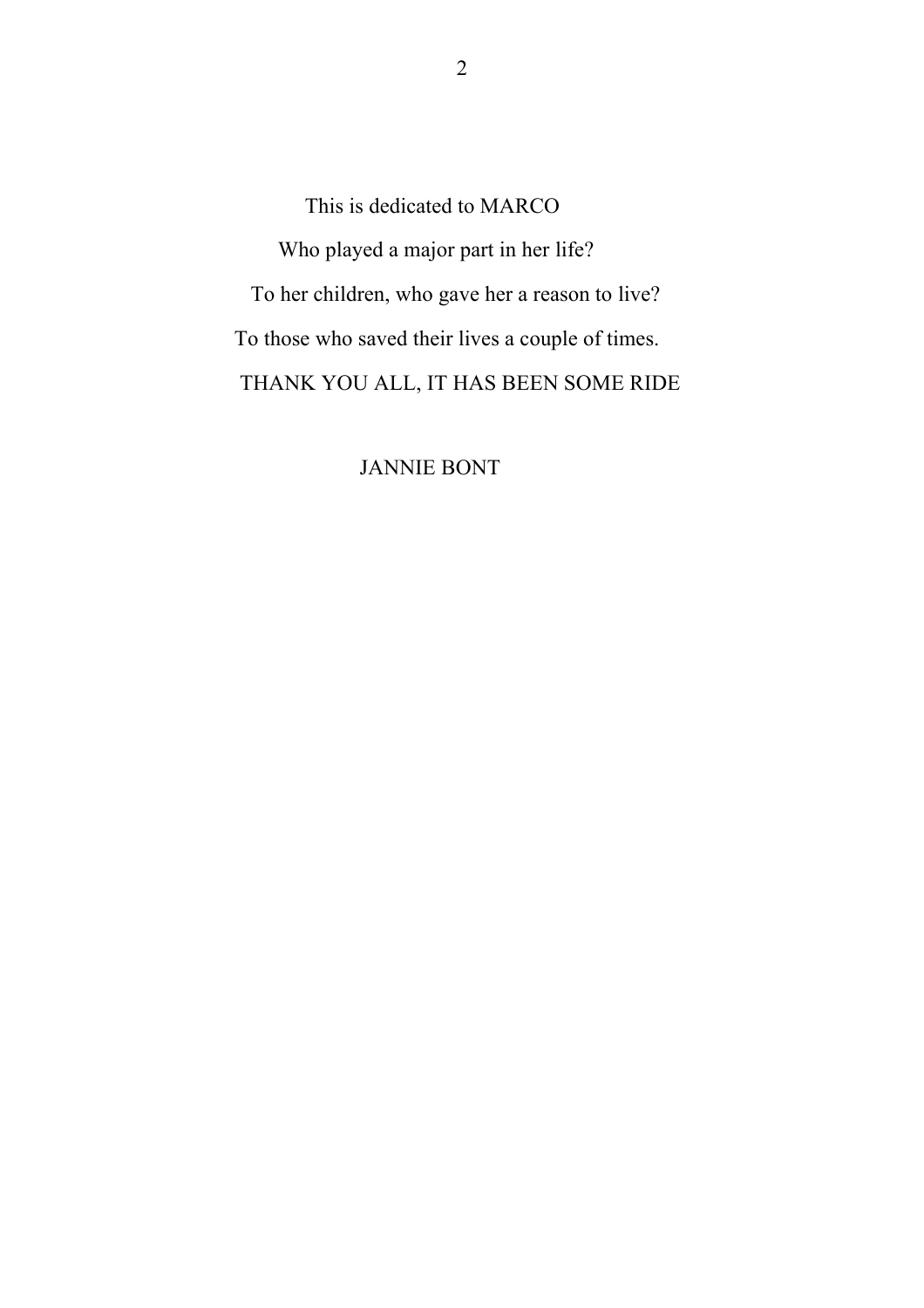This is dedicated to MARCO Who played a major part in her life? To her children, who gave her a reason to live? To those who saved their lives a couple of times. THANK YOU ALL, IT HAS BEEN SOME RIDE

JANNIE BONT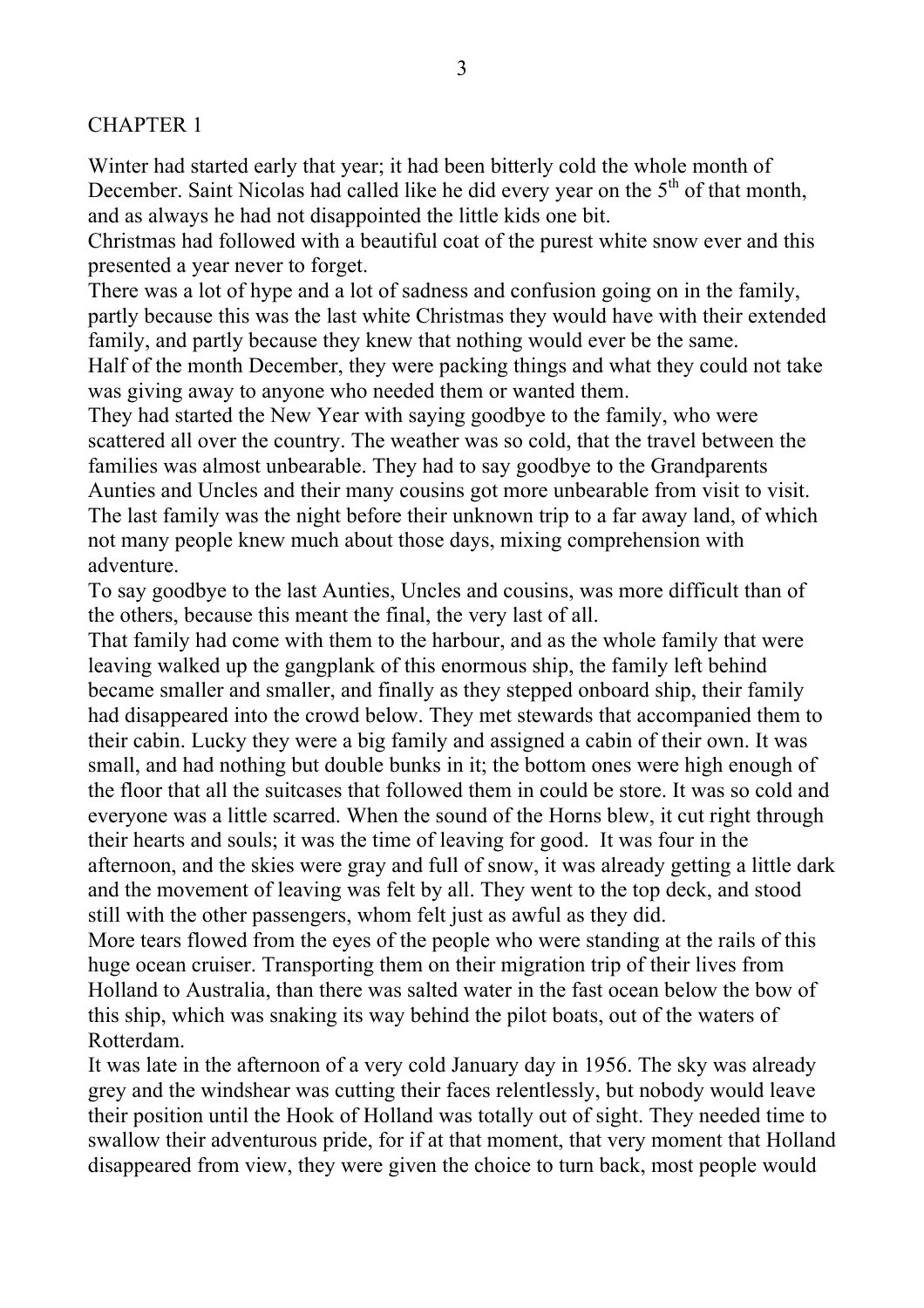## CHAPTER 1

Winter had started early that year; it had been bitterly cold the whole month of December. Saint Nicolas had called like he did every year on the  $5<sup>th</sup>$  of that month, and as always he had not disappointed the little kids one bit.

Christmas had followed with a beautiful coat of the purest white snow ever and this presented a year never to forget.

There was a lot of hype and a lot of sadness and confusion going on in the family, partly because this was the last white Christmas they would have with their extended family, and partly because they knew that nothing would ever be the same. Half of the month December, they were packing things and what they could not take

was giving away to anyone who needed them or wanted them.

They had started the New Year with saying goodbye to the family, who were scattered all over the country. The weather was so cold, that the travel between the families was almost unbearable. They had to say goodbye to the Grandparents Aunties and Uncles and their many cousins got more unbearable from visit to visit. The last family was the night before their unknown trip to a far away land, of which not many people knew much about those days, mixing comprehension with adventure.

To say goodbye to the last Aunties, Uncles and cousins, was more difficult than of the others, because this meant the final, the very last of all.

That family had come with them to the harbour, and as the whole family that were leaving walked up the gangplank of this enormous ship, the family left behind became smaller and smaller, and finally as they stepped onboard ship, their family had disappeared into the crowd below. They met stewards that accompanied them to their cabin. Lucky they were a big family and assigned a cabin of their own. It was small, and had nothing but double bunks in it; the bottom ones were high enough of the floor that all the suitcases that followed them in could be store. It was so cold and everyone was a little scarred. When the sound of the Horns blew, it cut right through their hearts and souls; it was the time of leaving for good. It was four in the afternoon, and the skies were gray and full of snow, it was already getting a little dark and the movement of leaving was felt by all. They went to the top deck, and stood still with the other passengers, whom felt just as awful as they did.

More tears flowed from the eyes of the people who were standing at the rails of this huge ocean cruiser. Transporting them on their migration trip of their lives from Holland to Australia, than there was salted water in the fast ocean below the bow of this ship, which was snaking its way behind the pilot boats, out of the waters of Rotterdam.

It was late in the afternoon of a very cold January day in 1956. The sky was already grey and the windshear was cutting their faces relentlessly, but nobody would leave their position until the Hook of Holland was totally out of sight. They needed time to swallow their adventurous pride, for if at that moment, that very moment that Holland disappeared from view, they were given the choice to turn back, most people would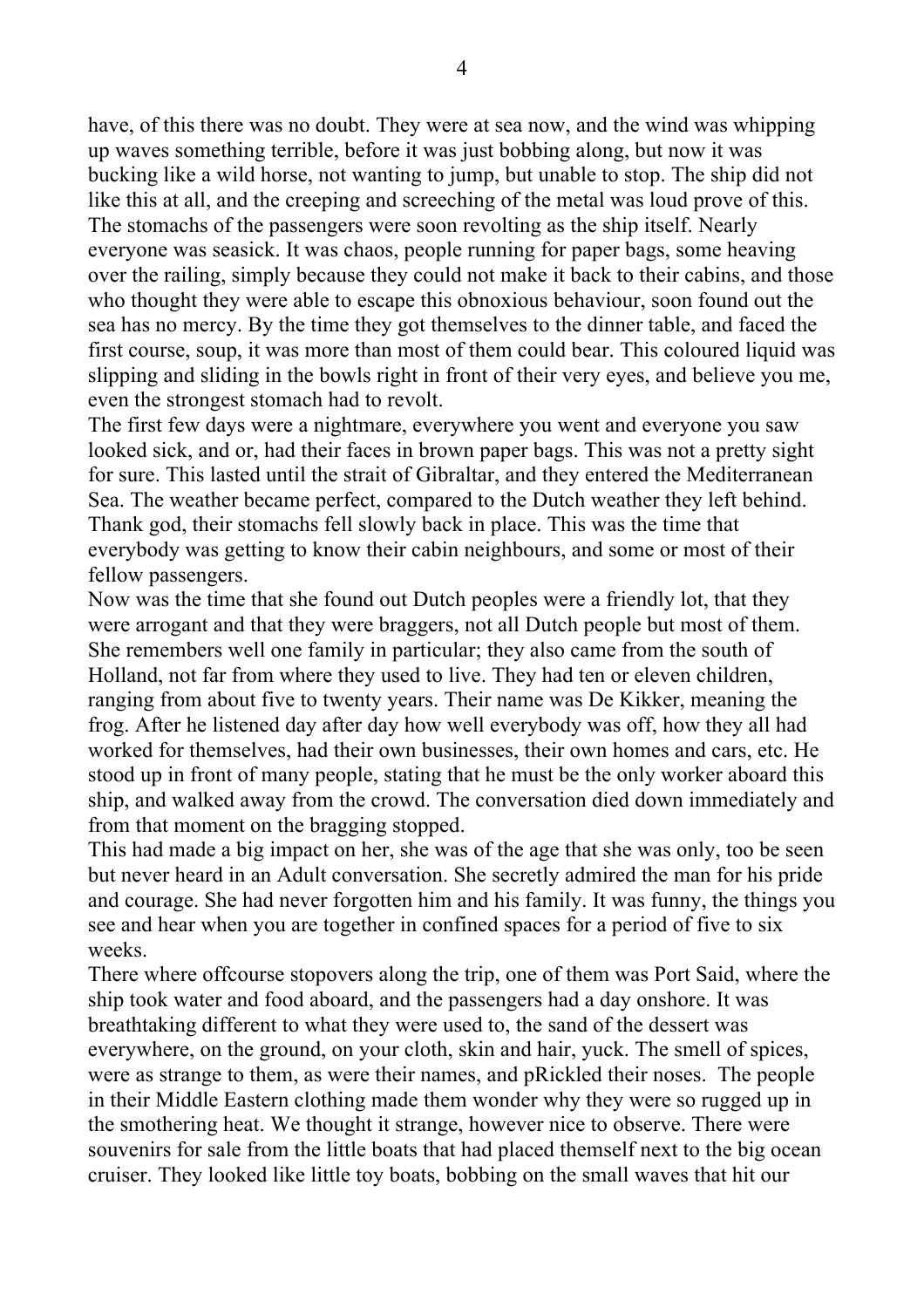have, of this there was no doubt. They were at sea now, and the wind was whipping up waves something terrible, before it was just bobbing along, but now it was bucking like a wild horse, not wanting to jump, but unable to stop. The ship did not like this at all, and the creeping and screeching of the metal was loud prove of this. The stomachs of the passengers were soon revolting as the ship itself. Nearly everyone was seasick. It was chaos, people running for paper bags, some heaving over the railing, simply because they could not make it back to their cabins, and those who thought they were able to escape this obnoxious behaviour, soon found out the sea has no mercy. By the time they got themselves to the dinner table, and faced the first course, soup, it was more than most of them could bear. This coloured liquid was slipping and sliding in the bowls right in front of their very eyes, and believe you me, even the strongest stomach had to revolt.

The first few days were a nightmare, everywhere you went and everyone you saw looked sick, and or, had their faces in brown paper bags. This was not a pretty sight for sure. This lasted until the strait of Gibraltar, and they entered the Mediterranean Sea. The weather became perfect, compared to the Dutch weather they left behind. Thank god, their stomachs fell slowly back in place. This was the time that everybody was getting to know their cabin neighbours, and some or most of their fellow passengers.

Now was the time that she found out Dutch peoples were a friendly lot, that they were arrogant and that they were braggers, not all Dutch people but most of them. She remembers well one family in particular; they also came from the south of Holland, not far from where they used to live. They had ten or eleven children, ranging from about five to twenty years. Their name was De Kikker, meaning the frog. After he listened day after day how well everybody was off, how they all had worked for themselves, had their own businesses, their own homes and cars, etc. He stood up in front of many people, stating that he must be the only worker aboard this ship, and walked away from the crowd. The conversation died down immediately and from that moment on the bragging stopped.

This had made a big impact on her, she was of the age that she was only, too be seen but never heard in an Adult conversation. She secretly admired the man for his pride and courage. She had never forgotten him and his family. It was funny, the things you see and hear when you are together in confined spaces for a period of five to six weeks.

There where offcourse stopovers along the trip, one of them was Port Said, where the ship took water and food aboard, and the passengers had a day onshore. It was breathtaking different to what they were used to, the sand of the dessert was everywhere, on the ground, on your cloth, skin and hair, yuck. The smell of spices, were as strange to them, as were their names, and pRickled their noses. The people in their Middle Eastern clothing made them wonder why they were so rugged up in the smothering heat. We thought it strange, however nice to observe. There were souvenirs for sale from the little boats that had placed themself next to the big ocean cruiser. They looked like little toy boats, bobbing on the small waves that hit our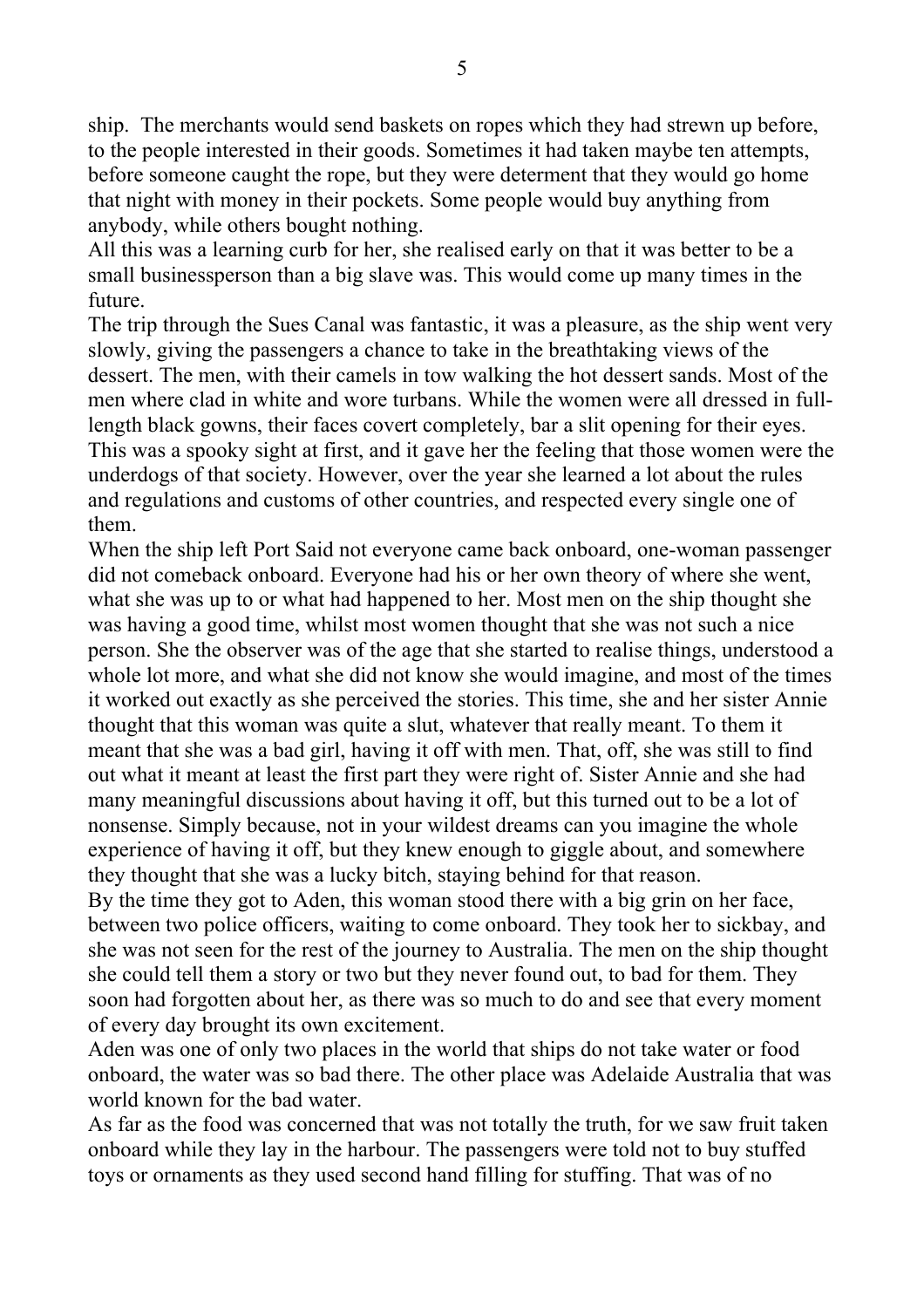ship. The merchants would send baskets on ropes which they had strewn up before, to the people interested in their goods. Sometimes it had taken maybe ten attempts, before someone caught the rope, but they were determent that they would go home that night with money in their pockets. Some people would buy anything from anybody, while others bought nothing.

All this was a learning curb for her, she realised early on that it was better to be a small businessperson than a big slave was. This would come up many times in the future.

The trip through the Sues Canal was fantastic, it was a pleasure, as the ship went very slowly, giving the passengers a chance to take in the breathtaking views of the dessert. The men, with their camels in tow walking the hot dessert sands. Most of the men where clad in white and wore turbans. While the women were all dressed in fulllength black gowns, their faces covert completely, bar a slit opening for their eyes. This was a spooky sight at first, and it gave her the feeling that those women were the underdogs of that society. However, over the year she learned a lot about the rules and regulations and customs of other countries, and respected every single one of them.

When the ship left Port Said not everyone came back onboard, one-woman passenger did not comeback onboard. Everyone had his or her own theory of where she went, what she was up to or what had happened to her. Most men on the ship thought she was having a good time, whilst most women thought that she was not such a nice person. She the observer was of the age that she started to realise things, understood a whole lot more, and what she did not know she would imagine, and most of the times it worked out exactly as she perceived the stories. This time, she and her sister Annie thought that this woman was quite a slut, whatever that really meant. To them it meant that she was a bad girl, having it off with men. That, off, she was still to find out what it meant at least the first part they were right of. Sister Annie and she had many meaningful discussions about having it off, but this turned out to be a lot of nonsense. Simply because, not in your wildest dreams can you imagine the whole experience of having it off, but they knew enough to giggle about, and somewhere they thought that she was a lucky bitch, staying behind for that reason.

By the time they got to Aden, this woman stood there with a big grin on her face, between two police officers, waiting to come onboard. They took her to sickbay, and she was not seen for the rest of the journey to Australia. The men on the ship thought she could tell them a story or two but they never found out, to bad for them. They soon had forgotten about her, as there was so much to do and see that every moment of every day brought its own excitement.

Aden was one of only two places in the world that ships do not take water or food onboard, the water was so bad there. The other place was Adelaide Australia that was world known for the bad water.

As far as the food was concerned that was not totally the truth, for we saw fruit taken onboard while they lay in the harbour. The passengers were told not to buy stuffed toys or ornaments as they used second hand filling for stuffing. That was of no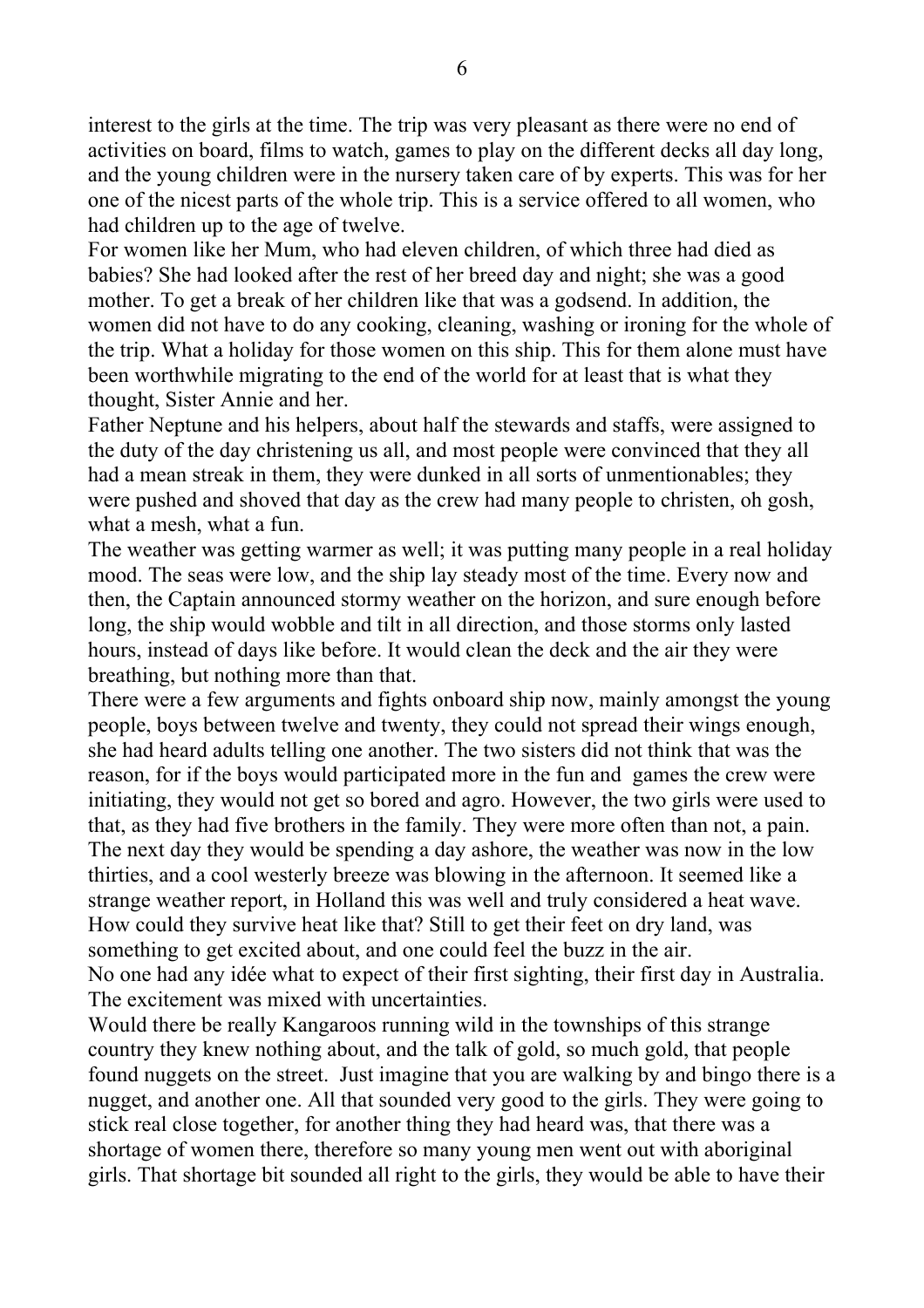interest to the girls at the time. The trip was very pleasant as there were no end of activities on board, films to watch, games to play on the different decks all day long, and the young children were in the nursery taken care of by experts. This was for her one of the nicest parts of the whole trip. This is a service offered to all women, who had children up to the age of twelve.

For women like her Mum, who had eleven children, of which three had died as babies? She had looked after the rest of her breed day and night; she was a good mother. To get a break of her children like that was a godsend. In addition, the women did not have to do any cooking, cleaning, washing or ironing for the whole of the trip. What a holiday for those women on this ship. This for them alone must have been worthwhile migrating to the end of the world for at least that is what they thought, Sister Annie and her.

Father Neptune and his helpers, about half the stewards and staffs, were assigned to the duty of the day christening us all, and most people were convinced that they all had a mean streak in them, they were dunked in all sorts of unmentionables; they were pushed and shoved that day as the crew had many people to christen, oh gosh, what a mesh, what a fun.

The weather was getting warmer as well; it was putting many people in a real holiday mood. The seas were low, and the ship lay steady most of the time. Every now and then, the Captain announced stormy weather on the horizon, and sure enough before long, the ship would wobble and tilt in all direction, and those storms only lasted hours, instead of days like before. It would clean the deck and the air they were breathing, but nothing more than that.

There were a few arguments and fights onboard ship now, mainly amongst the young people, boys between twelve and twenty, they could not spread their wings enough, she had heard adults telling one another. The two sisters did not think that was the reason, for if the boys would participated more in the fun and games the crew were initiating, they would not get so bored and agro. However, the two girls were used to that, as they had five brothers in the family. They were more often than not, a pain. The next day they would be spending a day ashore, the weather was now in the low thirties, and a cool westerly breeze was blowing in the afternoon. It seemed like a strange weather report, in Holland this was well and truly considered a heat wave. How could they survive heat like that? Still to get their feet on dry land, was something to get excited about, and one could feel the buzz in the air. No one had any idée what to expect of their first sighting, their first day in Australia. The excitement was mixed with uncertainties.

Would there be really Kangaroos running wild in the townships of this strange country they knew nothing about, and the talk of gold, so much gold, that people found nuggets on the street. Just imagine that you are walking by and bingo there is a nugget, and another one. All that sounded very good to the girls. They were going to stick real close together, for another thing they had heard was, that there was a shortage of women there, therefore so many young men went out with aboriginal girls. That shortage bit sounded all right to the girls, they would be able to have their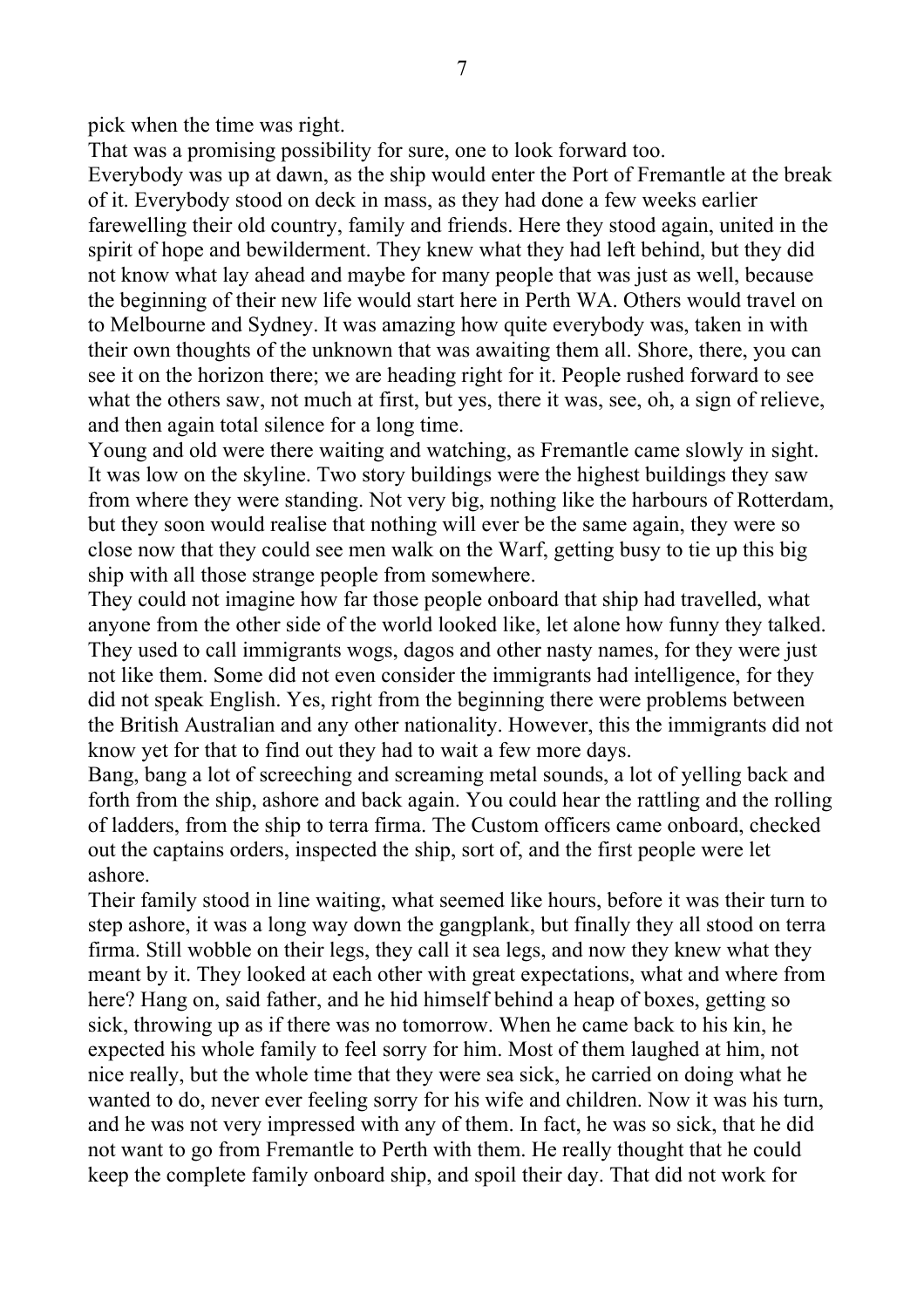pick when the time was right.

That was a promising possibility for sure, one to look forward too.

Everybody was up at dawn, as the ship would enter the Port of Fremantle at the break of it. Everybody stood on deck in mass, as they had done a few weeks earlier farewelling their old country, family and friends. Here they stood again, united in the spirit of hope and bewilderment. They knew what they had left behind, but they did not know what lay ahead and maybe for many people that was just as well, because the beginning of their new life would start here in Perth WA. Others would travel on to Melbourne and Sydney. It was amazing how quite everybody was, taken in with their own thoughts of the unknown that was awaiting them all. Shore, there, you can see it on the horizon there; we are heading right for it. People rushed forward to see what the others saw, not much at first, but yes, there it was, see, oh, a sign of relieve, and then again total silence for a long time.

Young and old were there waiting and watching, as Fremantle came slowly in sight. It was low on the skyline. Two story buildings were the highest buildings they saw from where they were standing. Not very big, nothing like the harbours of Rotterdam, but they soon would realise that nothing will ever be the same again, they were so close now that they could see men walk on the Warf, getting busy to tie up this big ship with all those strange people from somewhere.

They could not imagine how far those people onboard that ship had travelled, what anyone from the other side of the world looked like, let alone how funny they talked. They used to call immigrants wogs, dagos and other nasty names, for they were just not like them. Some did not even consider the immigrants had intelligence, for they did not speak English. Yes, right from the beginning there were problems between the British Australian and any other nationality. However, this the immigrants did not know yet for that to find out they had to wait a few more days.

Bang, bang a lot of screeching and screaming metal sounds, a lot of yelling back and forth from the ship, ashore and back again. You could hear the rattling and the rolling of ladders, from the ship to terra firma. The Custom officers came onboard, checked out the captains orders, inspected the ship, sort of, and the first people were let ashore.

Their family stood in line waiting, what seemed like hours, before it was their turn to step ashore, it was a long way down the gangplank, but finally they all stood on terra firma. Still wobble on their legs, they call it sea legs, and now they knew what they meant by it. They looked at each other with great expectations, what and where from here? Hang on, said father, and he hid himself behind a heap of boxes, getting so sick, throwing up as if there was no tomorrow. When he came back to his kin, he expected his whole family to feel sorry for him. Most of them laughed at him, not nice really, but the whole time that they were sea sick, he carried on doing what he wanted to do, never ever feeling sorry for his wife and children. Now it was his turn, and he was not very impressed with any of them. In fact, he was so sick, that he did not want to go from Fremantle to Perth with them. He really thought that he could keep the complete family onboard ship, and spoil their day. That did not work for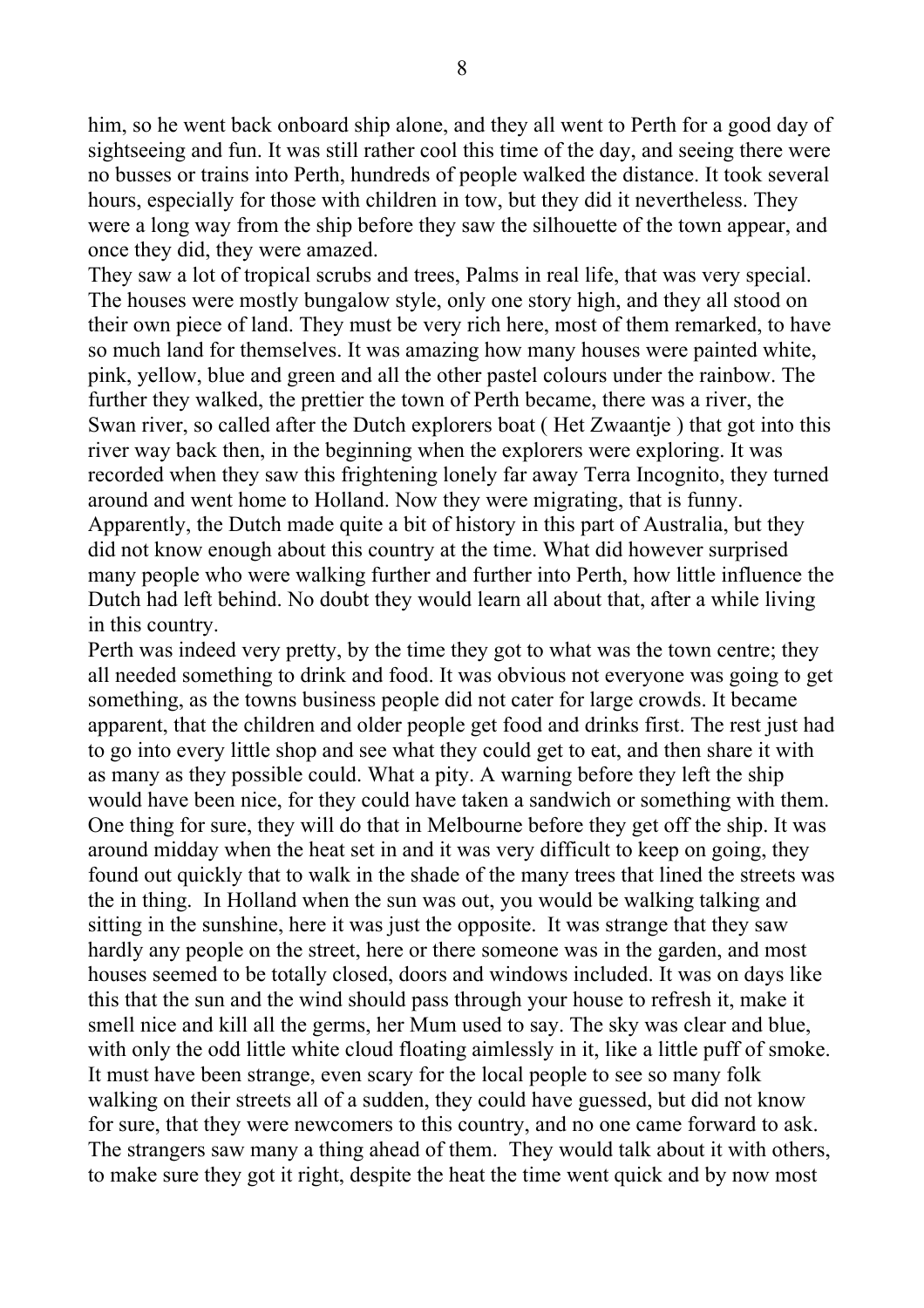him, so he went back onboard ship alone, and they all went to Perth for a good day of sightseeing and fun. It was still rather cool this time of the day, and seeing there were no busses or trains into Perth, hundreds of people walked the distance. It took several hours, especially for those with children in tow, but they did it nevertheless. They were a long way from the ship before they saw the silhouette of the town appear, and once they did, they were amazed.

They saw a lot of tropical scrubs and trees, Palms in real life, that was very special. The houses were mostly bungalow style, only one story high, and they all stood on their own piece of land. They must be very rich here, most of them remarked, to have so much land for themselves. It was amazing how many houses were painted white, pink, yellow, blue and green and all the other pastel colours under the rainbow. The further they walked, the prettier the town of Perth became, there was a river, the Swan river, so called after the Dutch explorers boat (Het Zwaantie) that got into this river way back then, in the beginning when the explorers were exploring. It was recorded when they saw this frightening lonely far away Terra Incognito, they turned around and went home to Holland. Now they were migrating, that is funny. Apparently, the Dutch made quite a bit of history in this part of Australia, but they did not know enough about this country at the time. What did however surprised many people who were walking further and further into Perth, how little influence the Dutch had left behind. No doubt they would learn all about that, after a while living in this country.

Perth was indeed very pretty, by the time they got to what was the town centre; they all needed something to drink and food. It was obvious not everyone was going to get something, as the towns business people did not cater for large crowds. It became apparent, that the children and older people get food and drinks first. The rest just had to go into every little shop and see what they could get to eat, and then share it with as many as they possible could. What a pity. A warning before they left the ship would have been nice, for they could have taken a sandwich or something with them. One thing for sure, they will do that in Melbourne before they get off the ship. It was around midday when the heat set in and it was very difficult to keep on going, they found out quickly that to walk in the shade of the many trees that lined the streets was the in thing. In Holland when the sun was out, you would be walking talking and sitting in the sunshine, here it was just the opposite. It was strange that they saw hardly any people on the street, here or there someone was in the garden, and most houses seemed to be totally closed, doors and windows included. It was on days like this that the sun and the wind should pass through your house to refresh it, make it smell nice and kill all the germs, her Mum used to say. The sky was clear and blue, with only the odd little white cloud floating aimlessly in it, like a little puff of smoke. It must have been strange, even scary for the local people to see so many folk walking on their streets all of a sudden, they could have guessed, but did not know for sure, that they were newcomers to this country, and no one came forward to ask. The strangers saw many a thing ahead of them. They would talk about it with others, to make sure they got it right, despite the heat the time went quick and by now most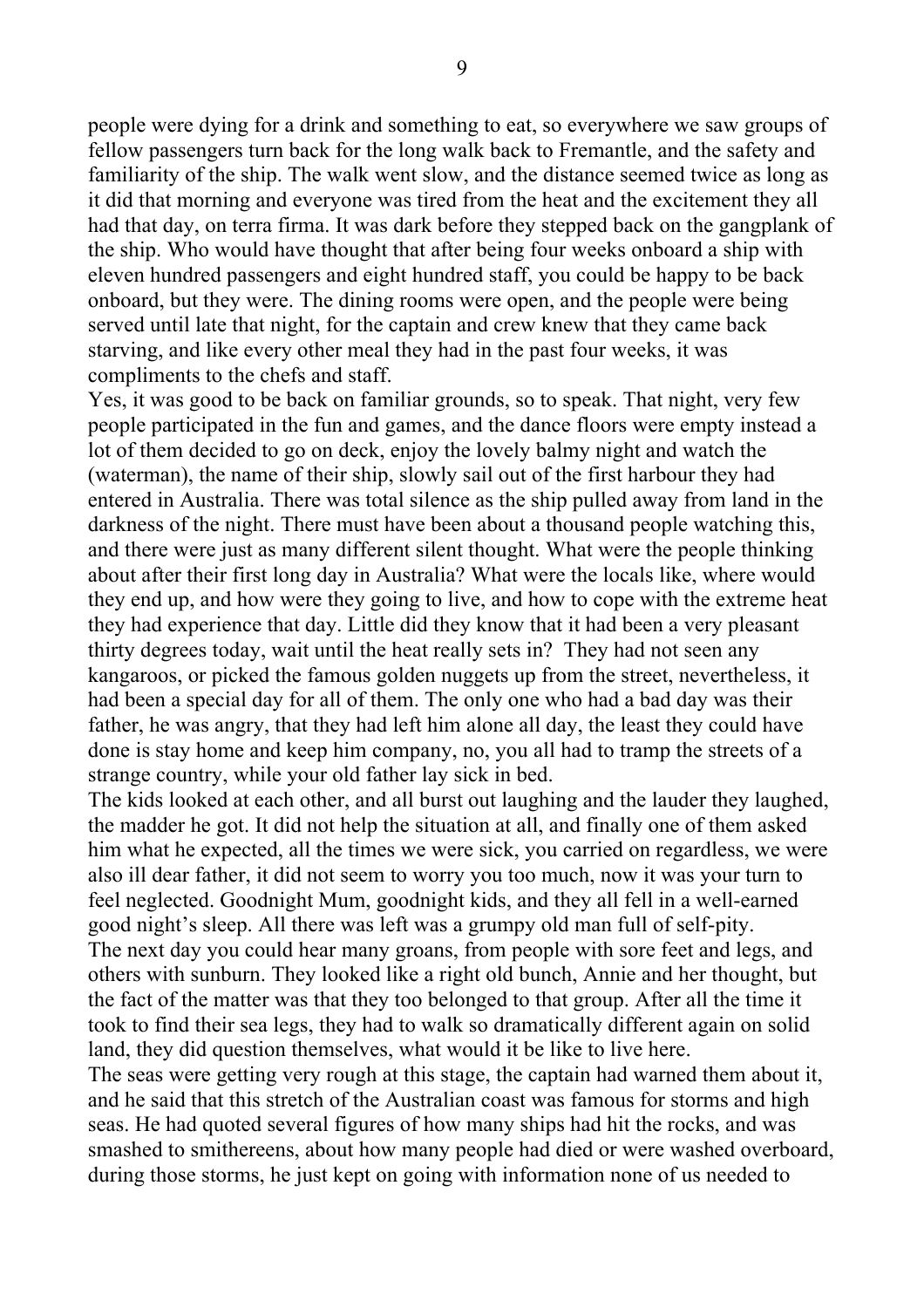people were dying for a drink and something to eat, so everywhere we saw groups of fellow passengers turn back for the long walk back to Fremantle, and the safety and familiarity of the ship. The walk went slow, and the distance seemed twice as long as it did that morning and everyone was tired from the heat and the excitement they all had that day, on terra firma. It was dark before they stepped back on the gangplank of the ship. Who would have thought that after being four weeks onboard a ship with eleven hundred passengers and eight hundred staff, you could be happy to be back onboard, but they were. The dining rooms were open, and the people were being served until late that night, for the captain and crew knew that they came back starving, and like every other meal they had in the past four weeks, it was compliments to the chefs and staff.

Yes, it was good to be back on familiar grounds, so to speak. That night, very few people participated in the fun and games, and the dance floors were empty instead a lot of them decided to go on deck, enjoy the lovely balmy night and watch the (waterman), the name of their ship, slowly sail out of the first harbour they had entered in Australia. There was total silence as the ship pulled away from land in the darkness of the night. There must have been about a thousand people watching this, and there were just as many different silent thought. What were the people thinking about after their first long day in Australia? What were the locals like, where would they end up, and how were they going to live, and how to cope with the extreme heat they had experience that day. Little did they know that it had been a very pleasant thirty degrees today, wait until the heat really sets in? They had not seen any kangaroos, or picked the famous golden nuggets up from the street, nevertheless, it had been a special day for all of them. The only one who had a bad day was their father, he was angry, that they had left him alone all day, the least they could have done is stay home and keep him company, no, you all had to tramp the streets of a strange country, while your old father lay sick in bed.

The kids looked at each other, and all burst out laughing and the lauder they laughed, the madder he got. It did not help the situation at all, and finally one of them asked him what he expected, all the times we were sick, you carried on regardless, we were also ill dear father, it did not seem to worry you too much, now it was your turn to feel neglected. Goodnight Mum, goodnight kids, and they all fell in a well-earned good night's sleep. All there was left was a grumpy old man full of self-pity. The next day you could hear many groans, from people with sore feet and legs, and others with sunburn. They looked like a right old bunch, Annie and her thought, but the fact of the matter was that they too belonged to that group. After all the time it took to find their sea legs, they had to walk so dramatically different again on solid land, they did question themselves, what would it be like to live here.

The seas were getting very rough at this stage, the captain had warned them about it, and he said that this stretch of the Australian coast was famous for storms and high seas. He had quoted several figures of how many ships had hit the rocks, and was smashed to smithereens, about how many people had died or were washed overboard, during those storms, he just kept on going with information none of us needed to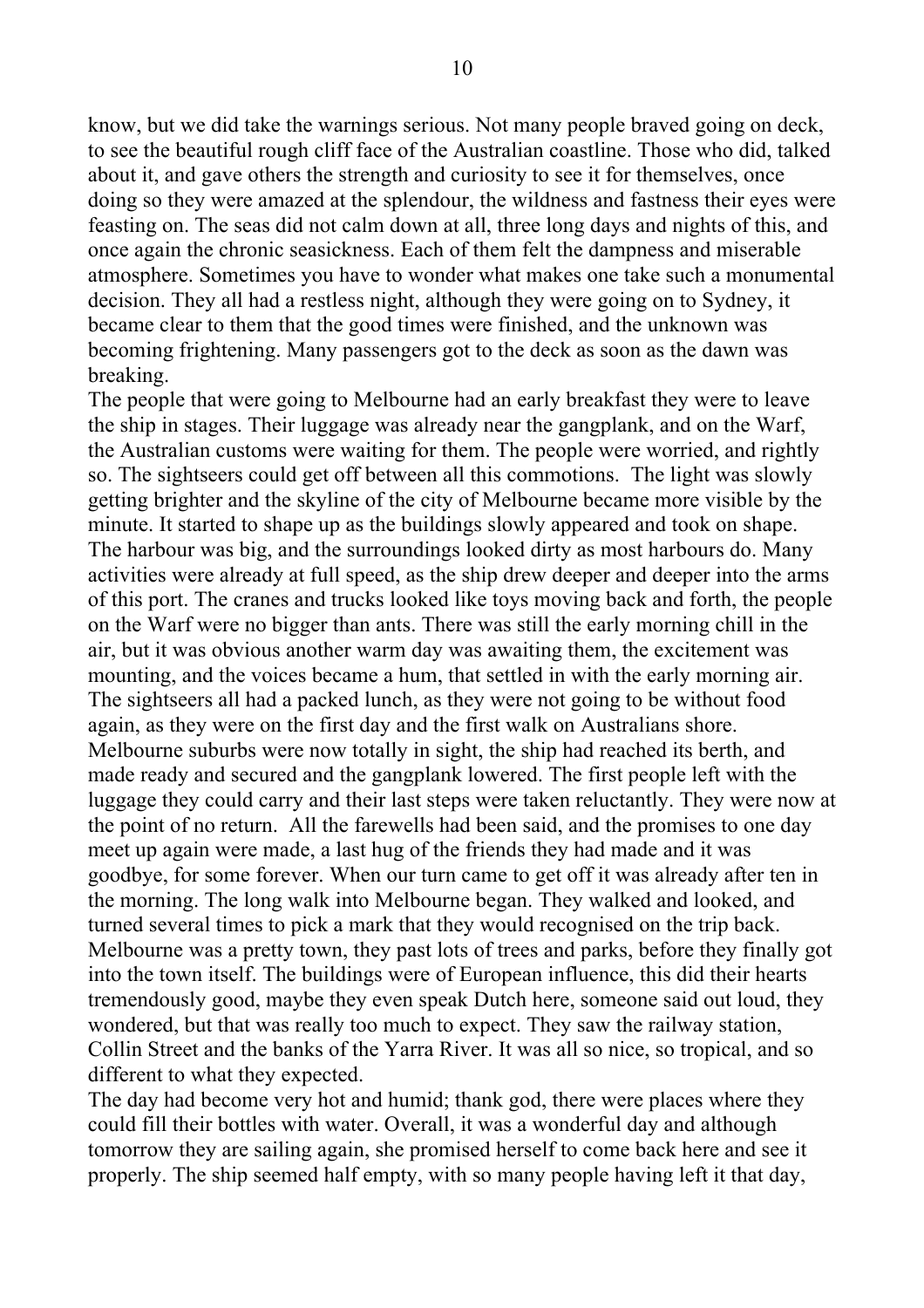know, but we did take the warnings serious. Not many people braved going on deck, to see the beautiful rough cliff face of the Australian coastline. Those who did, talked about it, and gave others the strength and curiosity to see it for themselves, once doing so they were amazed at the splendour, the wildness and fastness their eyes were feasting on. The seas did not calm down at all, three long days and nights of this, and once again the chronic seasickness. Each of them felt the dampness and miserable atmosphere. Sometimes you have to wonder what makes one take such a monumental decision. They all had a restless night, although they were going on to Sydney, it became clear to them that the good times were finished, and the unknown was becoming frightening. Many passengers got to the deck as soon as the dawn was breaking.

The people that were going to Melbourne had an early breakfast they were to leave the ship in stages. Their luggage was already near the gangplank, and on the Warf, the Australian customs were waiting for them. The people were worried, and rightly so. The sightseers could get off between all this commotions. The light was slowly getting brighter and the skyline of the city of Melbourne became more visible by the minute. It started to shape up as the buildings slowly appeared and took on shape. The harbour was big, and the surroundings looked dirty as most harbours do. Many activities were already at full speed, as the ship drew deeper and deeper into the arms of this port. The cranes and trucks looked like toys moving back and forth, the people on the Warf were no bigger than ants. There was still the early morning chill in the air, but it was obvious another warm day was awaiting them, the excitement was mounting, and the voices became a hum, that settled in with the early morning air. The sightseers all had a packed lunch, as they were not going to be without food again, as they were on the first day and the first walk on Australians shore. Melbourne suburbs were now totally in sight, the ship had reached its berth, and made ready and secured and the gangplank lowered. The first people left with the luggage they could carry and their last steps were taken reluctantly. They were now at the point of no return. All the farewells had been said, and the promises to one day meet up again were made, a last hug of the friends they had made and it was goodbye, for some forever. When our turn came to get off it was already after ten in the morning. The long walk into Melbourne began. They walked and looked, and turned several times to pick a mark that they would recognised on the trip back. Melbourne was a pretty town, they past lots of trees and parks, before they finally got into the town itself. The buildings were of European influence, this did their hearts tremendously good, maybe they even speak Dutch here, someone said out loud, they wondered, but that was really too much to expect. They saw the railway station, Collin Street and the banks of the Yarra River. It was all so nice, so tropical, and so different to what they expected.

The day had become very hot and humid; thank god, there were places where they could fill their bottles with water. Overall, it was a wonderful day and although tomorrow they are sailing again, she promised herself to come back here and see it properly. The ship seemed half empty, with so many people having left it that day,